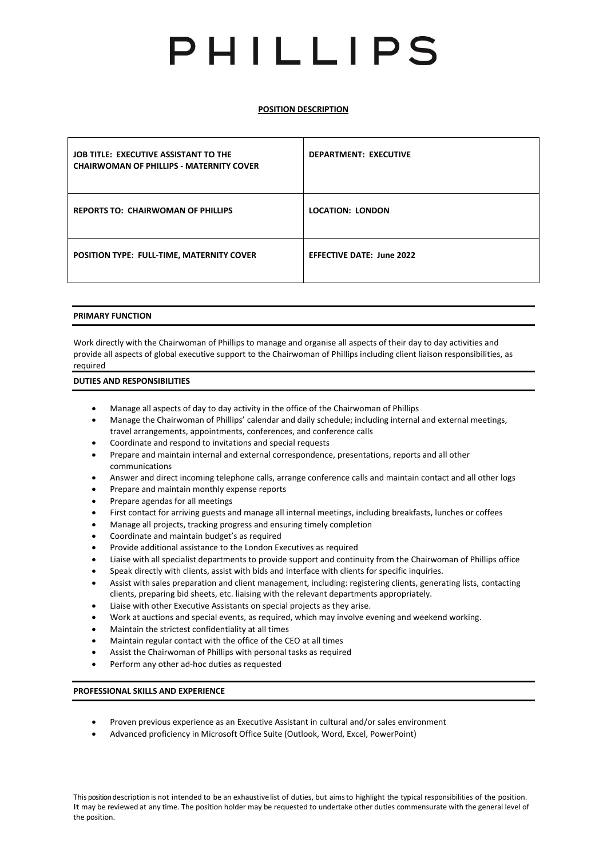# PHILLIPS

**POSITION DESCRIPTION** 

| JOB TITLE: EXECUTIVE ASSISTANT TO THE<br><b>CHAIRWOMAN OF PHILLIPS - MATERNITY COVER</b> | <b>DEPARTMENT: EXECUTIVE</b>     |
|------------------------------------------------------------------------------------------|----------------------------------|
| <b>REPORTS TO: CHAIRWOMAN OF PHILLIPS</b>                                                | <b>LOCATION: LONDON</b>          |
| <b>POSITION TYPE: FULL-TIME, MATERNITY COVER</b>                                         | <b>EFFECTIVE DATE: June 2022</b> |

## **PRIMARY FUNCTION**

Work directly with the Chairwoman of Phillips to manage and organise all aspects of their day to day activities and provide all aspects of global executive support to the Chairwoman of Phillips including client liaison responsibilities, as required

## **DUTIES AND RESPONSIBILITIES**

- Manage all aspects of day to day activity in the office of the Chairwoman of Phillips
- Manage the Chairwoman of Phillips' calendar and daily schedule; including internal and external meetings, travel arrangements, appointments, conferences, and conference calls
- Coordinate and respond to invitations and special requests
- Prepare and maintain internal and external correspondence, presentations, reports and all other communications
- Answer and direct incoming telephone calls, arrange conference calls and maintain contact and all other logs
- Prepare and maintain monthly expense reports
- Prepare agendas for all meetings
- First contact for arriving guests and manage all internal meetings, including breakfasts, lunches or coffees
- Manage all projects, tracking progress and ensuring timely completion
- Coordinate and maintain budget's as required
- Provide additional assistance to the London Executives as required
- Liaise with all specialist departments to provide support and continuity from the Chairwoman of Phillips office
- Speak directly with clients, assist with bids and interface with clients for specific inquiries.
- Assist with sales preparation and client management, including: registering clients, generating lists, contacting clients, preparing bid sheets, etc. liaising with the relevant departments appropriately.
- Liaise with other Executive Assistants on special projects as they arise.
- Work at auctions and special events, as required, which may involve evening and weekend working.
- Maintain the strictest confidentiality at all times
- Maintain regular contact with the office of the CEO at all times
- Assist the Chairwoman of Phillips with personal tasks as required
- Perform any other ad-hoc duties as requested

## **PROFESSIONAL SKILLS AND EXPERIENCE**

- Proven previous experience as an Executive Assistant in cultural and/or sales environment
- Advanced proficiency in Microsoft Office Suite (Outlook, Word, Excel, PowerPoint)